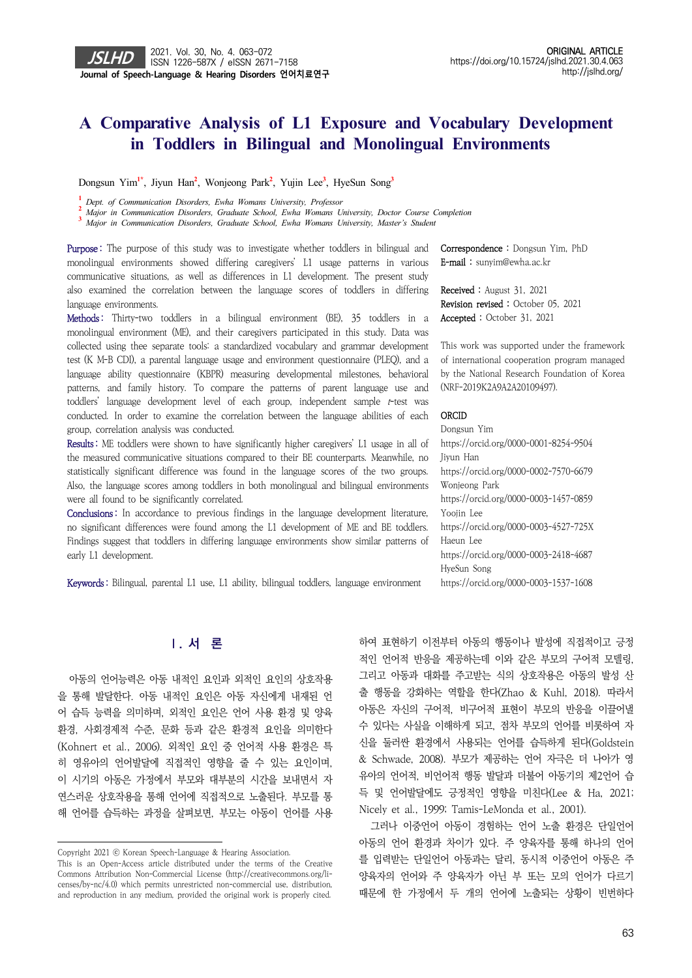# **A Comparative Analysis of L1 Exposure and Vocabulary Development** in Toddlers in Bilingual and Monolingual Environments

Dongsun Yim**1\***, Jiyun Han**<sup>2</sup>** , Wonjeong Park**<sup>2</sup>** , Yujin Lee**<sup>3</sup>** , HyeSun Song**<sup>3</sup>**

**1**  *Dept. of Communication Disorders, Ewha Womans University, Professor* 

**2**  *Major in Communication Disorders, Graduate School, Ewha Womans University, Doctor Course Completion*

**3**  *Major in Communication Disorders, Graduate School, Ewha Womans University, Master's Student* 

Purpose: The purpose of this study was to investigate whether toddlers in bilingual and monolingual environments showed differing caregivers' L1 usage patterns in various communicative situations, as well as differences in L1 development. The present study also examined the correlation between the language scores of toddlers in differing language environments.

Methods: Thirty-two toddlers in a bilingual environment (BE), 35 toddlers in a monolingual environment (ME), and their caregivers participated in this study. Data was collected using thee separate tools: a standardized vocabulary and grammar development test (K M-B CDI), a parental language usage and environment questionnaire (PLEQ), and a language ability questionnaire (KBPR) measuring developmental milestones, behavioral patterns, and family history. To compare the patterns of parent language use and toddlers' language development level of each group, independent sample t-test was conducted. In order to examine the correlation between the language abilities of each group, correlation analysis was conducted.

Results : ME toddlers were shown to have significantly higher caregivers' L1 usage in all of the measured communicative situations compared to their BE counterparts. Meanwhile, no statistically significant difference was found in the language scores of the two groups. Also, the language scores among toddlers in both monolingual and bilingual environments were all found to be significantly correlated.

Conclusions: In accordance to previous findings in the language development literature, no significant differences were found among the L1 development of ME and BE toddlers. Findings suggest that toddlers in differing language environments show similar patterns of early L1 development.

Keywords : Bilingual, parental L1 use, L1 ability, bilingual toddlers, language environment

### **Ⅰ. 서 론**

아동의 언어능력은 아동 내적인 요인과 외적인 요인의 상호작용 을 통해 발달한다. 아동 내적인 요인은 아동 자신에게 내재된 언 어 습득 능력을 의미하며, 외적인 요인은 언어 사용 환경 및 양육 환경, 사회경제적 수준, 문화 등과 같은 환경적 요인을 의미한다 (Kohnert et al., 2006). 외적인 요인 중 언어적 사용 환경은 특 히 영유아의 언어발달에 직접적인 영향을 줄 수 있는 요인이며, 이 시기의 아동은 가정에서 부모와 대부분의 시간을 보내면서 자 연스러운 상호작용을 통해 언어에 직접적으로 노출된다. 부모를 통 해 언어를 습득하는 과정을 살펴보면, 부모는 아동이 언어를 사용 Correspondence : Dongsun Yim, PhD E-mail : sunyim@ewha.ac.kr

Received : August 31, 2021 Revision revised : October 05, 2021 Accepted : October 31, 2021

This work was supported under the framework of international cooperation program managed by the National Research Foundation of Korea (NRF-2019K2A9A2A20109497).

#### ORCID

Dongsun Yim https://orcid.org/0000-0001-8254-9504 Jiyun Han https://orcid.org/0000-0002-7570-6679 Wonjeong Park https://orcid.org/0000-0003-1457-0859 Yoojin Lee https://orcid.org/0000-0003-4527-725X Haeun Lee https://orcid.org/0000-0003-2418-4687 HyeSun Song https://orcid.org/0000-0003-1537-1608

하여 표현하기 이전부터 아동의 행동이나 발성에 직접적이고 긍정 적인 언어적 반응을 제공하는데 이와 같은 부모의 구어적 모델링, 그리고 아동과 대화를 주고받는 식의 상호작용은 아동의 발성 산 출 행동을 강화하는 역할을 한다(Zhao & Kuhl, 2018). 따라서 아동은 자신의 구어적, 비구어적 표현이 부모의 반응을 이끌어낼 수 있다는 사실을 이해하게 되고, 점차 부모의 언어를 비롯하여 자 신을 둘러싼 환경에서 사용되는 언어를 습득하게 된다(Goldstein & Schwade, 2008). 부모가 제공하는 언어 자극은 더 나아가 영 유아의 언어적, 비언어적 행동 발달과 더불어 아동기의 제2언어 습 득 및 언어발달에도 긍정적인 영향을 미친다(Lee & Ha, 2021; Nicely et al., 1999; Tamis-LeMonda et al., 2001).

그러나 이중언어 아동이 경험하는 언어 노출 환경은 단일언어 아동의 언어 환경과 차이가 있다. 주 양육자를 통해 하나의 언어 를 입력받는 단일언어 아동과는 달리, 동시적 이중언어 아동은 주 양육자의 언어와 주 양육자가 아닌 부 또는 모의 언어가 다르기 때문에 한 가정에서 두 개의 언어에 노출되는 상황이 빈번하다

Copyright 2021 ⓒ Korean Speech-Language & Hearing Association.

This is an Open-Access article distributed under the terms of the Creative Commons Attribution Non-Commercial License (http://creativecommons.org/licenses/by-nc/4.0) which permits unrestricted non-commercial use, distribution, and reproduction in any medium, provided the original work is properly cited.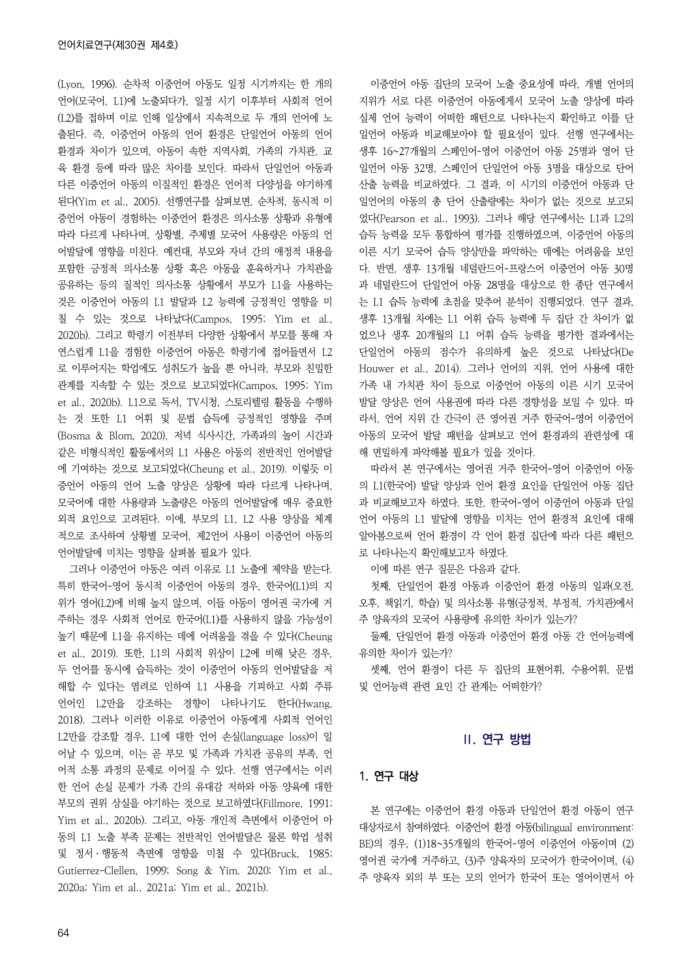(Lyon, 1996). 순차적 이중언어 아동도 일정 시기까지는 한 개의 언어(모국어, L1)에 노출되다가, 일정 시기 이후부터 사회적 언어 (L2)를 접하며 이로 인해 일상에서 지속적으로 두 개의 언어에 노 출된다. 즉, 이중언어 아동의 언어 환경은 단일언어 아동의 언어 환경과 차이가 있으며, 아동이 속한 지역사회, 가족의 가치관, 교 육 환경 등에 따라 많은 차이를 보인다. 따라서 단일언어 아동과 다른 이중언어 아동의 이질적인 환경은 언어적 다양성을 야기하게 된다(Yim et al., 2005). 선행연구를 살펴보면, 순차적, 동시적 이 중언어 아동이 경험하는 이중언어 환경은 의사소통 상황과 유형에 따라 다르게 나타나며, 상황별, 주제별 모국어 사용량은 아동의 언 어발달에 영향을 미친다. 예컨대, 부모와 자녀 간의 애정적 내용을 포함한 긍정적 의사소통 상황 혹은 아동을 훈육하거나 가치관을 공유하는 등의 질적인 의사소통 상황에서 부모가 L1을 사용하는 것은 이중언어 아동의 L1 발달과 L2 능력에 긍정적인 영향을 미 칠 수 있는 것으로 나타났다(Campos, 1995; Yim et al., 2020b). 그리고 학령기 이전부터 다양한 상황에서 부모를 통해 자 연스럽게 L1을 경험한 이중언어 아동은 학령기에 접어들면서 L2 로 이루어지는 학업에도 성취도가 높을 뿐 아니라, 부모와 친밀한 관계를 지속할 수 있는 것으로 보고되었다(Campos, 1995; Yim et al., 2020b). L1으로 독서, TV시청, 스토리텔링 활동을 수행하 는 것 또한 L1 어휘 및 문법 습득에 긍정적인 영향을 주며 (Bosma & Blom, 2020), 저녁 식사시간, 가족과의 놀이 시간과 같은 비형식적인 활동에서의 L1 사용은 아동의 전반적인 언어발달 에 기여하는 것으로 보고되었다(Cheung et al., 2019). 이렇듯 이 중언어 아동의 언어 노출 양상은 상황에 따라 다르게 나타나며, 모국어에 대한 사용량과 노출량은 아동의 언어발달에 매우 중요한 외적 요인으로 고려된다. 이에, 부모의 L1, L2 사용 양상을 체계 적으로 조사하여 상황별 모국어, 제2언어 사용이 이중언어 아동의 언어발달에 미치는 영향을 살펴볼 필요가 있다.

그러나 이중언어 아동은 여러 이유로 L1 노출에 제약을 받는다. 특히 한국어-영어 동시적 이중언어 아동의 경우, 한국어(L1)의 지 위가 영어(L2)에 비해 높지 않으며, 이들 아동이 영어권 국가에 거 주하는 경우 사회적 언어로 한국어(L1)를 사용하지 않을 가능성이 높기 때문에 L1을 유지하는 데에 어려움을 겪을 수 있다(Cheung et al., 2019). 또한, L1의 사회적 위상이 L2에 비해 낮은 경우, 두 언어를 동시에 습득하는 것이 이중언어 아동의 언어발달을 저 해할 수 있다는 염려로 인하여 L1 사용을 기피하고 사회 주류 언어인 L2만을 강조하는 경향이 나타나기도 한다(Hwang, 2018). 그러나 이러한 이유로 이중언어 아동에게 사회적 언어인 L2만을 강조할 경우, L1에 대한 언어 손실(language loss)이 일 어날 수 있으며, 이는 곧 부모 및 가족과 가치관 공유의 부족, 언 어적 소통 과정의 문제로 이어질 수 있다. 선행 연구에서는 이러 한 언어 손실 문제가 가족 간의 유대감 저하와 아동 양육에 대한 부모의 권위 상실을 야기하는 것으로 보고하였다(Fillmore, 1991; Yim et al., 2020b). 그리고, 아동 개인적 측면에서 이중언어 아 동의 L1 노출 부족 문제는 전반적인 언어발달은 물론 학업 성취 및 정서ㆍ행동적 측면에 영향을 미칠 수 있다(Bruck, 1985; Gutierrez-Clellen, 1999; Song & Yim, 2020; Yim et al., 2020a; Yim et al., 2021a; Yim et al., 2021b).

이중언어 아동 집단의 모국어 노출 중요성에 따라, 개별 언어의 지위가 서로 다른 이중언어 아동에게서 모국어 노출 양상에 따라 실제 언어 능력이 어떠한 패턴으로 나타나는지 확인하고 이를 단 일언어 아동과 비교해보아야 할 필요성이 있다. 선행 연구에서는 생후 16~27개월의 스페인어-영어 이중언어 아동 25명과 영어 단 일언어 아동 32명, 스페인어 단일언어 아동 3명을 대상으로 단어 산출 능력을 비교하였다. 그 결과, 이 시기의 이중언어 아동과 단 일언어의 아동의 총 단어 산출량에는 차이가 없는 것으로 보고되 었다(Pearson et al., 1993). 그러나 해당 연구에서는 L1과 L2의 습득 능력을 모두 통합하여 평가를 진행하였으며, 이중언어 아동의 이른 시기 모국어 습득 양상만을 파악하는 데에는 어려움을 보인 다. 반면, 생후 13개월 네덜란드어-프랑스어 이중언어 아동 30명 과 네덜란드어 단일언어 아동 28명을 대상으로 한 종단 연구에서 는 L1 습득 능력에 초점을 맞추어 분석이 진행되었다. 연구 결과, 생후 13개월 차에는 L1 어휘 습득 능력에 두 집단 간 차이가 없 었으나 생후 20개월의 L1 어휘 습득 능력을 평가한 결과에서는 단일언어 아동의 점수가 유의하게 높은 것으로 나타났다(De Houwer et al., 2014). 그러나 언어의 지위, 언어 사용에 대한 가족 내 가치관 차이 등으로 이중언어 아동의 이른 시기 모국어 발달 양상은 언어 사용권에 따라 다른 경향성을 보일 수 있다. 따 라서, 언어 지위 간 간극이 큰 영어권 거주 한국어-영어 이중언어 아동의 모국어 발달 패턴을 살펴보고 언어 환경과의 관련성에 대 해 면밀하게 파악해볼 필요가 있을 것이다.

따라서 본 연구에서는 영어권 거주 한국어-영어 이중언어 아동 의 L1(한국어) 발달 양상과 언어 환경 요인을 단일언어 아동 집단 과 비교해보고자 하였다. 또한, 한국어-영어 이중언어 아동과 단일 언어 아동의 L1 발달에 영향을 미치는 언어 환경적 요인에 대해 알아봄으로써 언어 환경이 각 언어 환경 집단에 따라 다른 패턴으 로 나타나는지 확인해보고자 하였다.

이에 따른 연구 질문은 다음과 같다.

첫째, 단일언어 환경 아동과 이중언어 환경 아동의 일과(오전, 오후, 책읽기, 학습) 및 의사소통 유형(긍정적, 부정적, 가치관)에서 주 양육자의 모국어 사용량에 유의한 차이가 있는가?

둘째, 단일언어 환경 아동과 이중언어 환경 아동 간 언어능력에 유의한 차이가 있는가?

셋째, 언어 환경이 다른 두 집단의 표현어휘, 수용어휘, 문법 및 언어능력 관련 요인 간 관계는 어떠한가?

### **Ⅱ. 연구 방법**

#### 1. 연구 대상

본 연구에는 이중언어 환경 아동과 단일언어 환경 아동이 연구 대상자로서 참여하였다. 이중언어 환경 아동(bilingual environment: BE)의 경우, (1)18~35개월의 한국어-영어 이중언어 아동이며 (2) 영어권 국가에 거주하고, (3)주 양육자의 모국어가 한국어이며, (4) 주 양육자 외의 부 또는 모의 언어가 한국어 또는 영어이면서 아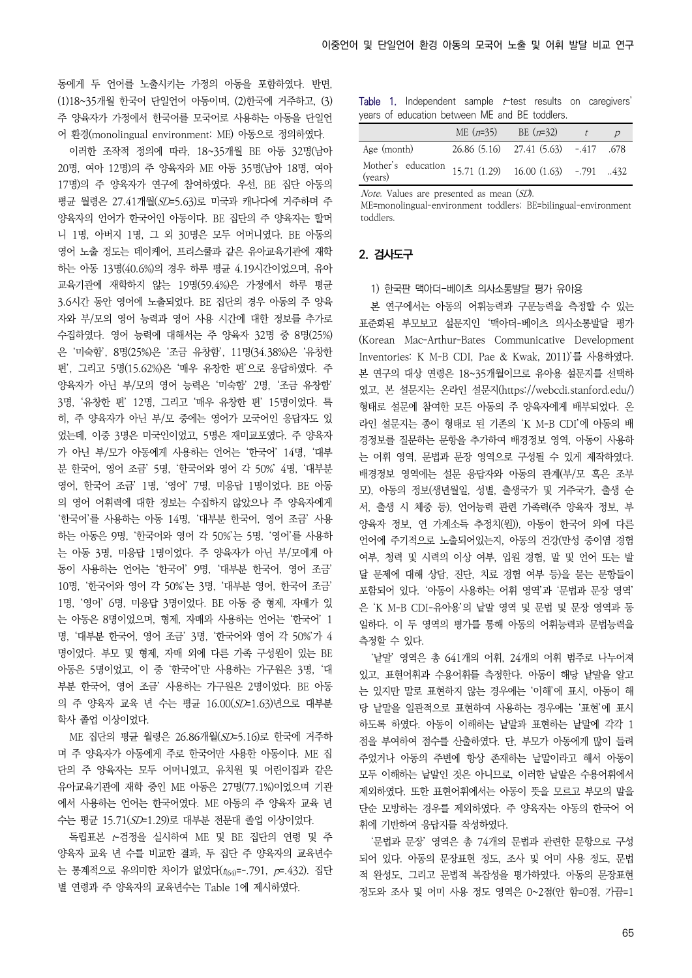동에게 두 언어를 노출시키는 가정의 아동을 포함하였다. 반면, (1)18~35개월 한국어 단일언어 아동이며, (2)한국에 거주하고, (3) 주 양육자가 가정에서 한국어를 모국어로 사용하는 아동을 단일언 어 환경(monolingual environment: ME) 아동으로 정의하였다.

이러한 조작적 정의에 따라, 18~35개월 BE 아동 32명(남아 20명, 여아 12명)의 주 양육자와 ME 아동 35명(남아 18명, 여아 17명)의 주 양육자가 연구에 참여하였다. 우선, BE 집단 아동의 평균 월령은 27.41개월(SD=5.63)로 미국과 캐나다에 거주하며 주 양육자의 언어가 한국어인 아동이다. BE 집단의 주 양육자는 할머 니 1명, 아버지 1명, 그 외 30명은 모두 어머니였다. BE 아동의 영어 노출 정도는 데이케어, 프리스쿨과 같은 유아교육기관에 재학 하는 아동 13명(40.6%)의 경우 하루 평균 4.19시간이었으며, 유아 교육기관에 재학하지 않는 19명(59.4%)은 가정에서 하루 평균 3.6시간 동안 영어에 노출되었다. BE 집단의 경우 아동의 주 양육 자와 부/모의 영어 능력과 영어 사용 시간에 대한 정보를 추가로 수집하였다. 영어 능력에 대해서는 주 양육자 32명 중 8명(25%) 은 '미숙함', 8명(25%)은 '조금 유창함', 11명(34.38%)은 '유창한 편', 그리고 5명(15.62%)은 '매우 유창한 편'으로 응답하였다. 주 양육자가 아닌 부/모의 영어 능력은 '미숙함' 2명, '조금 유창함' 3명, '유창한 편' 12명, 그리고 '매우 유창한 편' 15명이었다. 특 히, 주 양육자가 아닌 부/모 중에는 영어가 모국어인 응답자도 있 었는데, 이중 3명은 미국인이었고, 5명은 재미교포였다. 주 양육자 가 아닌 부/모가 아동에게 사용하는 언어는 '한국어' 14명, '대부 분 한국어, 영어 조금' 5명, '한국어와 영어 각 50%' 4명, '대부분 영어, 한국어 조금' 1명, '영어' 7명, 미응답 1명이었다. BE 아동 의 영어 어휘력에 대한 정보는 수집하지 않았으나 주 양육자에게 '한국어'를 사용하는 아동 14명, '대부분 한국어, 영어 조금' 사용 하는 아동은 9명, '한국어와 영어 각 50%'는 5명, '영어'를 사용하 는 아동 3명, 미응답 1명이었다. 주 양육자가 아닌 부/모에게 아 동이 사용하는 언어는 '한국어' 9명, '대부분 한국어, 영어 조금' 10명, '한국어와 영어 각 50%'는 3명, '대부분 영어, 한국어 조금' 1명, '영어' 6명, 미응답 3명이었다. BE 아동 중 형제, 자매가 있 는 아동은 8명이었으며, 형제, 자매와 사용하는 언어는 '한국어' 1 명, '대부분 한국어, 영어 조금' 3명, '한국어와 영어 각 50%'가 4 명이었다. 부모 및 형제, 자매 외에 다른 가족 구성원이 있는 BE 아동은 5명이었고, 이 중 '한국어'만 사용하는 가구원은 3명, '대 부분 한국어, 영어 조금' 사용하는 가구원은 2명이었다. BE 아동 의 주 양육자 교육 년 수는 평균 16.00(SD=1.63)년으로 대부분 학사 졸업 이상이었다.

ME 집단의 평균 월령은 26.86개월(SD=5.16)로 한국에 거주하 며 주 양육자가 아동에게 주로 한국어만 사용한 아동이다. ME 집 단의 주 양육자는 모두 어머니였고, 유치원 및 어린이집과 같은 유아교육기관에 재학 중인 ME 아동은 27명(77.1%)이었으며 기관 에서 사용하는 언어는 한국어였다. ME 아동의 주 양육자 교육 년 수는 평균 15.71(SD=1.29)로 대부분 전문대 졸업 이상이었다.

독립표본 t-검정을 실시하여 ME 및 BE 집단의 연령 및 주 양육자 교육 년 수를 비교한 결과, 두 집단 주 양육자의 교육년수 는 통계적으로 유의미한 차이가 없었다 $(t_{(64)}=-791, p=432)$ . 집단 별 연령과 주 양육자의 교육년수는 Table 1에 제시하였다.

Table 1. Independent sample t-test results on caregivers' years of education between ME and BE toddlers.

|                                                                   | ME $(n=35)$ | BE $(n=32)$                          |  |
|-------------------------------------------------------------------|-------------|--------------------------------------|--|
| Age (month)                                                       |             | 26.86 (5.16) 27.41 (5.63) -.417 .678 |  |
| Mother's education 15.71 (1.29) 16.00 (1.63) -.791 432<br>(years) |             |                                      |  |

Note. Values are presented as mean (SD).

ME=monolingual-environment toddlers; BE=bilingual-environment toddlers.

#### 2. 검사도구

#### 1) 한국판 맥아더-베이츠 의사소통발달 평가 유아용

본 연구에서는 아동의 어휘능력과 구문능력을 측정할 수 있는 표준화된 부모보고 설문지인 '맥아더-베이츠 의사소통발달 평가 (Korean Mac-Arthur-Bates Communicative Development Inventories: K M-B CDI, Pae & Kwak, 2011)'를 사용하였다. 본 연구의 대상 연령은 18~35개월이므로 유아용 설문지를 선택하 였고, 본 설문지는 온라인 설문지(https://webcdi.stanford.edu/) 형태로 설문에 참여한 모든 아동의 주 양육자에게 배부되었다. 온 라인 설문지는 종이 형태로 된 기존의 'K M-B CDI'에 아동의 배 경정보를 질문하는 문항을 추가하여 배경정보 영역, 아동이 사용하 는 어휘 영역, 문법과 문장 영역으로 구성될 수 있게 제작하였다. 배경정보 영역에는 설문 응답자와 아동의 관계(부/모 혹은 조부 모), 아동의 정보(생년월일, 성별, 출생국가 및 거주국가, 출생 순 서, 출생 시 체중 등), 언어능력 관련 가족력(주 양육자 정보, 부 양육자 정보, 연 가계소득 추정치(원)), 아동이 한국어 외에 다른 언어에 주기적으로 노출되어있는지, 아동의 건강(만성 중이염 경험 여부, 청력 및 시력의 이상 여부, 입원 경험, 말 및 언어 또는 발 달 문제에 대해 상담, 진단, 치료 경험 여부 등)을 묻는 문항들이 포함되어 있다. '아동이 사용하는 어휘 영역'과 '문법과 문장 영역' 은 'K M-B CDI-유아용'의 낱말 영역 및 문법 및 문장 영역과 동 일하다. 이 두 영역의 평가를 통해 아동의 어휘능력과 문법능력을 측정할 수 있다.

'낱말' 영역은 총 641개의 어휘, 24개의 어휘 범주로 나누어져 있고, 표현어휘과 수용어휘를 측정한다. 아동이 해당 낱말을 알고 는 있지만 말로 표현하지 않는 경우에는 '이해'에 표시, 아동이 해 당 낱말을 일관적으로 표현하여 사용하는 경우에는 '표현'에 표시 하도록 하였다. 아동이 이해하는 낱말과 표현하는 낱말에 각각 1 점을 부여하여 점수를 산출하였다. 단, 부모가 아동에게 많이 들려 주었거나 아동의 주변에 항상 존재하는 낱말이라고 해서 아동이 모두 이해하는 낱말인 것은 아니므로, 이러한 낱말은 수용어휘에서 제외하였다. 또한 표현어휘에서는 아동이 뜻을 모르고 부모의 말을 단순 모방하는 경우를 제외하였다. 주 양육자는 아동의 한국어 어 휘에 기반하여 응답지를 작성하였다.

'문법과 문장' 영역은 총 74개의 문법과 관련한 문항으로 구성 되어 있다. 아동의 문장표현 정도, 조사 및 어미 사용 정도, 문법 적 완성도, 그리고 문법적 복잡성을 평가하였다. 아동의 문장표현 정도와 조사 및 어미 사용 정도 영역은 0~2점(안 함=0점, 가끔=1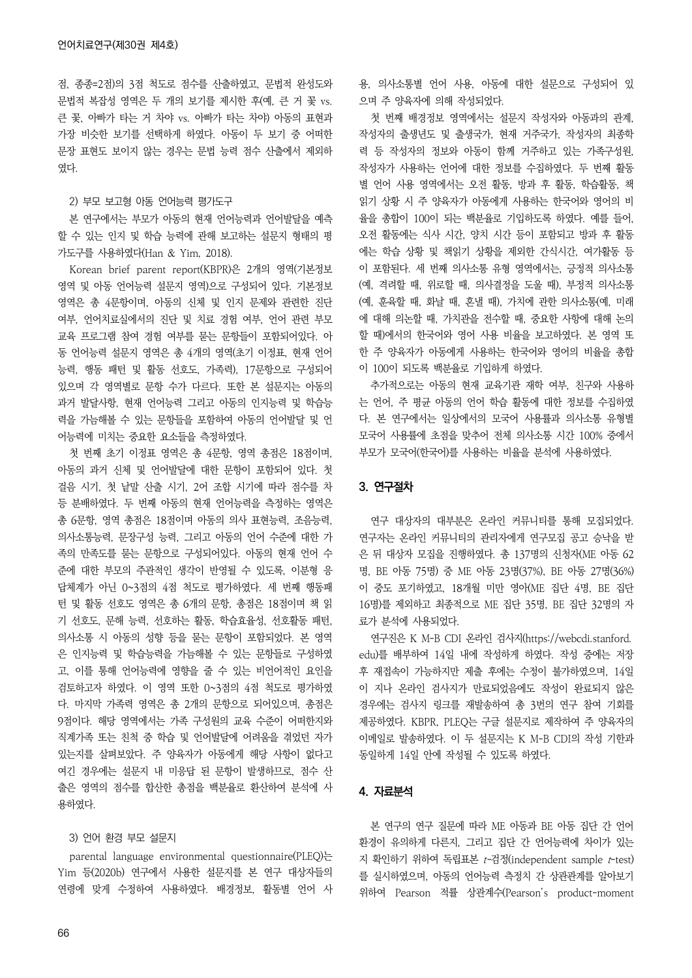점, 종종=2점)의 3점 척도로 점수를 산출하였고, 문법적 완성도와 문법적 복잡성 영역은 두 개의 보기를 제시한 후(예, 큰 거 꽃 vs. 큰 꽃, 아빠가 타는 거 차야 vs. 아빠가 타는 차야) 아동의 표현과 가장 비슷한 보기를 선택하게 하였다. 아동이 두 보기 중 어떠한 문장 표현도 보이지 않는 경우는 문법 능력 점수 산출에서 제외하 였다.

#### 2) 부모 보고형 아동 언어능력 평가도구

본 연구에서는 부모가 아동의 현재 언어능력과 언어발달을 예측 할 수 있는 인지 및 학습 능력에 관해 보고하는 설문지 형태의 평 가도구를 사용하였다(Han & Yim, 2018).

Korean brief parent report(KBPR)은 2개의 영역(기본정보 영역 및 아동 언어능력 설문지 영역)으로 구성되어 있다. 기본정보 영역은 총 4문항이며, 아동의 신체 및 인지 문제와 관련한 진단 여부, 언어치료실에서의 진단 및 치료 경험 여부, 언어 관련 부모 교육 프로그램 참여 경험 여부를 묻는 문항들이 포함되어있다. 아 동 언어능력 설문지 영역은 총 4개의 영역(초기 이정표, 현재 언어 능력, 행동 패턴 및 활동 선호도, 가족력), 17문항으로 구성되어 있으며 각 영역별로 문항 수가 다르다. 또한 본 설문지는 아동의 과거 발달사항, 현재 언어능력 그리고 아동의 인지능력 및 학습능 력을 가늠해볼 수 있는 문항들을 포함하여 아동의 언어발달 및 언 어능력에 미치는 중요한 요소들을 측정하였다.

첫 번째 초기 이정표 영역은 총 4문항, 영역 총점은 18점이며, 아동의 과거 신체 및 언어발달에 대한 문항이 포함되어 있다. 첫 걸음 시기, 첫 낱말 산출 시기, 2어 조합 시기에 따라 점수를 차 등 분배하였다. 두 번째 아동의 현재 언어능력을 측정하는 영역은 총 6문항, 영역 총점은 18점이며 아동의 의사 표현능력, 조음능력, 의사소통능력, 문장구성 능력, 그리고 아동의 언어 수준에 대한 가 족의 만족도를 묻는 문항으로 구성되어있다. 아동의 현재 언어 수 준에 대한 부모의 주관적인 생각이 반영될 수 있도록, 이분형 응 답체계가 아닌 0~3점의 4점 척도로 평가하였다. 세 번째 행동패 턴 및 활동 선호도 영역은 총 6개의 문항, 총점은 18점이며 책 읽 기 선호도, 문해 능력, 선호하는 활동, 학습효율성, 선호활동 패턴, 의사소통 시 아동의 성향 등을 묻는 문항이 포함되었다. 본 영역 은 인지능력 및 학습능력을 가늠해볼 수 있는 문항들로 구성하였 고, 이를 통해 언어능력에 영향을 줄 수 있는 비언어적인 요인을 검토하고자 하였다. 이 영역 또한 0~3점의 4점 척도로 평가하였 다. 마지막 가족력 영역은 총 2개의 문항으로 되어있으며, 총점은 9점이다. 해당 영역에서는 가족 구성원의 교육 수준이 어떠한지와 직계가족 또는 친척 중 학습 및 언어발달에 어려움을 겪었던 자가 있는지를 살펴보았다. 주 양육자가 아동에게 해당 사항이 없다고 여긴 경우에는 설문지 내 미응답 된 문항이 발생하므로, 점수 산 출은 영역의 점수를 합산한 총점을 백분율로 환산하여 분석에 사 용하였다.

#### 3) 언어 환경 부모 설문지

parental language environmental questionnaire(PLEQ)는 Yim 등(2020b) 연구에서 사용한 설문지를 본 연구 대상자들의 연령에 맞게 수정하여 사용하였다. 배경정보, 활동별 언어 사 용, 의사소통별 언어 사용, 아동에 대한 설문으로 구성되어 있 으며 주 양육자에 의해 작성되었다.

첫 번째 배경정보 영역에서는 설문지 작성자와 아동과의 관계, 작성자의 출생년도 및 출생국가, 현재 거주국가, 작성자의 최종학 력 등 작성자의 정보와 아동이 함께 거주하고 있는 가족구성원, 작성자가 사용하는 언어에 대한 정보를 수집하였다. 두 번째 활동 별 언어 사용 영역에서는 오전 활동, 방과 후 활동, 학습활동, 책 읽기 상황 시 주 양육자가 아동에게 사용하는 한국어와 영어의 비 율을 총합이 100이 되는 백분율로 기입하도록 하였다. 예를 들어, 오전 활동에는 식사 시간, 양치 시간 등이 포함되고 방과 후 활동 에는 학습 상황 및 책읽기 상황을 제외한 간식시간, 여가활동 등 이 포함된다. 세 번째 의사소통 유형 영역에서는, 긍정적 의사소통 (예, 격려할 때, 위로할 때, 의사결정을 도울 때), 부정적 의사소통 (예, 훈육할 때, 화날 때, 혼낼 때), 가치에 관한 의사소통(예, 미래 에 대해 의논할 때, 가치관을 전수할 때, 중요한 사항에 대해 논의 할 때)에서의 한국어와 영어 사용 비율을 보고하였다. 본 영역 또 한 주 양육자가 아동에게 사용하는 한국어와 영어의 비율을 총합 이 100이 되도록 백분율로 기입하게 하였다.

추가적으로는 아동의 현재 교육기관 재학 여부, 친구와 사용하 는 언어, 주 평균 아동의 언어 학습 활동에 대한 정보를 수집하였 다. 본 연구에서는 일상에서의 모국어 사용률과 의사소통 유형별 모국어 사용률에 초점을 맞추어 전체 의사소통 시간 100% 중에서 부모가 모국어(한국어)를 사용하는 비율을 분석에 사용하였다.

#### 3. 연구절차

연구 대상자의 대부분은 온라인 커뮤니티를 통해 모집되었다. 연구자는 온라인 커뮤니티의 관리자에게 연구모집 공고 승낙을 받 은 뒤 대상자 모집을 진행하였다. 총 137명의 신청자(ME 아동 62 명, BE 아동 75명) 중 ME 아동 23명(37%), BE 아동 27명(36%) 이 중도 포기하였고, 18개월 미만 영아(ME 집단 4명, BE 집단 16명)를 제외하고 최종적으로 ME 집단 35명, BE 집단 32명의 자 료가 분석에 사용되었다.

연구진은 K M-B CDI 온라인 검사지(https://webcdi.stanford. edu)를 배부하여 14일 내에 작성하게 하였다. 작성 중에는 저장 후 재접속이 가능하지만 제출 후에는 수정이 불가하였으며, 14일 이 지나 온라인 검사지가 만료되었음에도 작성이 완료되지 않은 경우에는 검사지 링크를 재발송하여 총 3번의 연구 참여 기회를 제공하였다. KBPR, PLEQ는 구글 설문지로 제작하여 주 양육자의 이메일로 발송하였다. 이 두 설문지는 K M-B CDI의 작성 기한과 동일하게 14일 안에 작성될 수 있도록 하였다.

#### 4. 자료분석

본 연구의 연구 질문에 따라 ME 아동과 BE 아동 집단 간 언어 환경이 유의하게 다른지, 그리고 집단 간 언어능력에 차이가 있는 지 확인하기 위하여 독립표본 t-검정(independent sample t-test) 를 실시하였으며, 아동의 언어능력 측정치 간 상관관계를 알아보기 위하여 Pearson 적률 상관계수(Pearson's product-moment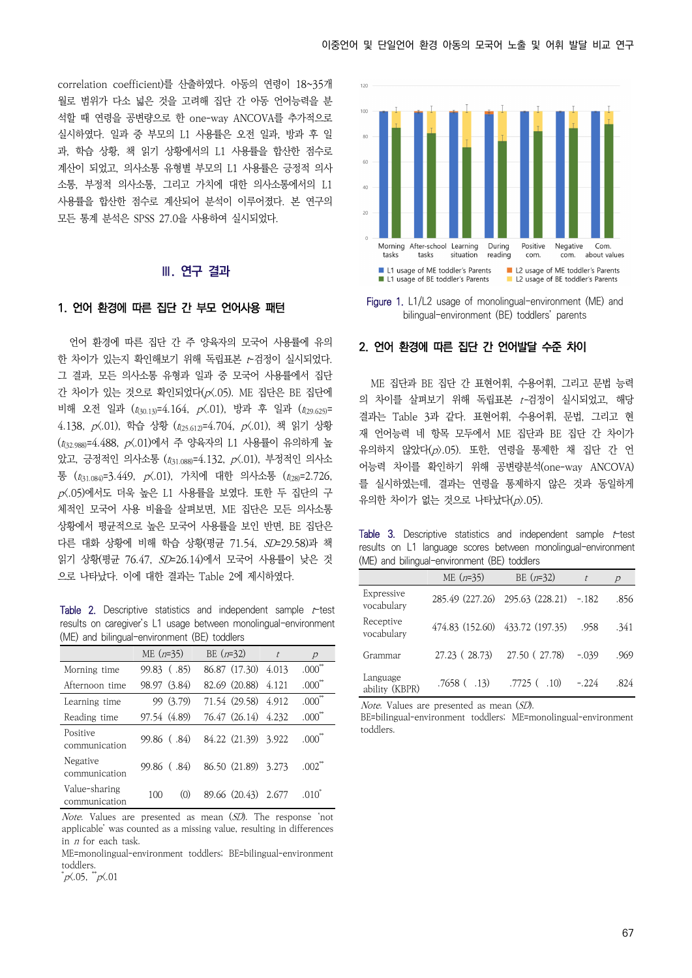correlation coefficient)를 산출하였다. 아동의 연령이 18~35개 월로 범위가 다소 넓은 것을 고려해 집단 간 아동 언어능력을 분 석할 때 연령을 공변량으로 한 one-way ANCOVA를 추가적으로 실시하였다. 일과 중 부모의 L1 사용률은 오전 일과, 방과 후 일 과, 학습 상황, 책 읽기 상황에서의 L1 사용률을 합산한 점수로 계산이 되었고, 의사소통 유형별 부모의 L1 사용률은 긍정적 의사 소통, 부정적 의사소통, 그리고 가치에 대한 의사소통에서의 L1 사용률을 합산한 점수로 계산되어 분석이 이루어졌다. 본 연구의 모든 통계 분석은 SPSS 27.0을 사용하여 실시되었다.

#### **Ⅲ. 연구 결과**

#### 1. 언어 환경에 따른 집단 간 부모 언어사용 패턴

언어 환경에 따른 집단 간 주 양육자의 모국어 사용률에 유의 한 차이가 있는지 확인해보기 위해 독립표본 t-검정이 실시되었다. 그 결과, 모든 의사소통 유형과 일과 중 모국어 사용률에서 집단 간 차이가 있는 것으로 확인되었다(p<.05). ME 집단은 BE 집단에 비해 오전 일과  $(t_{(30.13)}=4.164, p(A.01))$ , 방과 후 일과  $(t_{(29.625)}=$ 4.138,  $p(0.01)$ , 학습 상황 ( $t_{(25.612)}=4.704$ ,  $p(0.01)$ , 책 읽기 상황  $(t_{432.988})$  = 4.488,  $p(0.01)$ 에서 주 양육자의 L1 사용률이 유의하게 높 았고, 긍정적인 의사소통 ( $t_{(31.088)}=4.132$ ,  $p(0.01)$ , 부정적인 의사소 통 ( $t_{(31.084)}$ =3.449,  $p(0.01)$ , 가치에 대한 의사소통 ( $t_{(28)}$ =2.726,  $p(0.05)$ 에서도 더욱 높은 L1 사용률을 보였다. 또한 두 집단의 구 체적인 모국어 사용 비율을 살펴보면, ME 집단은 모든 의사소통 상황에서 평균적으로 높은 모국어 사용률을 보인 반면, BE 집단은 다른 대화 상황에 비해 학습 상황(평균 71.54, SD=29.58)과 책 읽기 상황(평균 76.47, SD=26.14)에서 모국어 사용률이 낮은 것 으로 나타났다. 이에 대한 결과는 Table 2에 제시하였다.

Table 2. Descriptive statistics and independent sample  $t$ -test results on caregiver's L1 usage between monolingual-environment (ME) and bilingual-environment (BE) toddlers

|                                | ME $(n=35)$  | BE $(n=32)$         | $\ddot{t}$ | $\overline{p}$       |
|--------------------------------|--------------|---------------------|------------|----------------------|
| Morning time                   | 99.83 (.85)  | 86.87 (17.30)       | 4.013      | $.000$ <sup>**</sup> |
| Afternoon time                 | 98.97 (3.84) | 82.69 (20.88)       | 4.121      | $.000**$             |
| Learning time                  | 99 (3.79)    | 71.54 (29.58)       | 4.912      | $.000^{**}$          |
| Reading time                   | 97.54 (4.89) | 76.47 (26.14)       | 4.232      | .000 <sup>7</sup>    |
| Positive<br>communication      | 99.86 (.84)  | 84.22 (21.39) 3.922 |            | .000 <sup>7</sup>    |
| Negative<br>communication      | 99.86 (.84)  | 86.50 (21.89) 3.273 |            | $.002^{\circ}$       |
| Value-sharing<br>communication | (0)<br>100   | 89.66 (20.43) 2.677 |            | .010 <sup>°</sup>    |

*Note.* Values are presented as mean  $(SD)$ . The response 'not applicable' was counted as a missing value, resulting in differences in n for each task.

ME=monolingual-environment toddlers; BE=bilingual-environment toddlers.

 $p\zeta.05$ ,  $p\zeta.01$ 



Figure 1. L1/L2 usage of monolingual-environment (ME) and bilingual-environment (BE) toddlers' parents

#### 2. 언어 환경에 따른 집단 간 언어발달 수준 차이

ME 집단과 BE 집단 간 표현어휘, 수용어휘, 그리고 문법 능력 의 차이를 살펴보기 위해 독립표본 t-검정이 실시되었고, 해당 결과는 Table 3과 같다. 표현어휘, 수용어휘, 문법, 그리고 현 재 언어능력 네 항목 모두에서 ME 집단과 BE 집단 간 차이가 유의하지 않았다(p>.05). 또한, 연령을 통제한 채 집단 간 언 어능력 차이를 확인하기 위해 공변량분석(one-way ANCOVA) 를 실시하였는데, 결과는 연령을 통제하지 않은 것과 동일하게 유의한 차이가 없는 것으로 나타났다 $(p)$ .05).

Table 3. Descriptive statistics and independent sample t-test results on L1 language scores between monolingual-environment (ME) and bilingual-environment (BE) toddlers

|                            | $ME (n=35)$       | BE $(n=32)$                     | $\ddot{t}$ | $\overline{\rho}$ |
|----------------------------|-------------------|---------------------------------|------------|-------------------|
| Expressive<br>vocabulary   |                   | 285.49 (227.26) 295.63 (228.21) | $-.182$    | .856              |
| Receptive<br>vocabulary    |                   | 474.83 (152.60) 433.72 (197.35) | .958       | .341              |
| Grammar                    | 27.23 (28.73)     | 27.50 (27.78)                   | $-.039$    | .969              |
| Language<br>ability (KBPR) | $.7658$ ( $.13$ ) | $.7725$ ( $.10$ )               | $-.224$    | .824              |

Note. Values are presented as mean (SD).

BE=bilingual-environment toddlers; ME=monolingual-environment toddlers.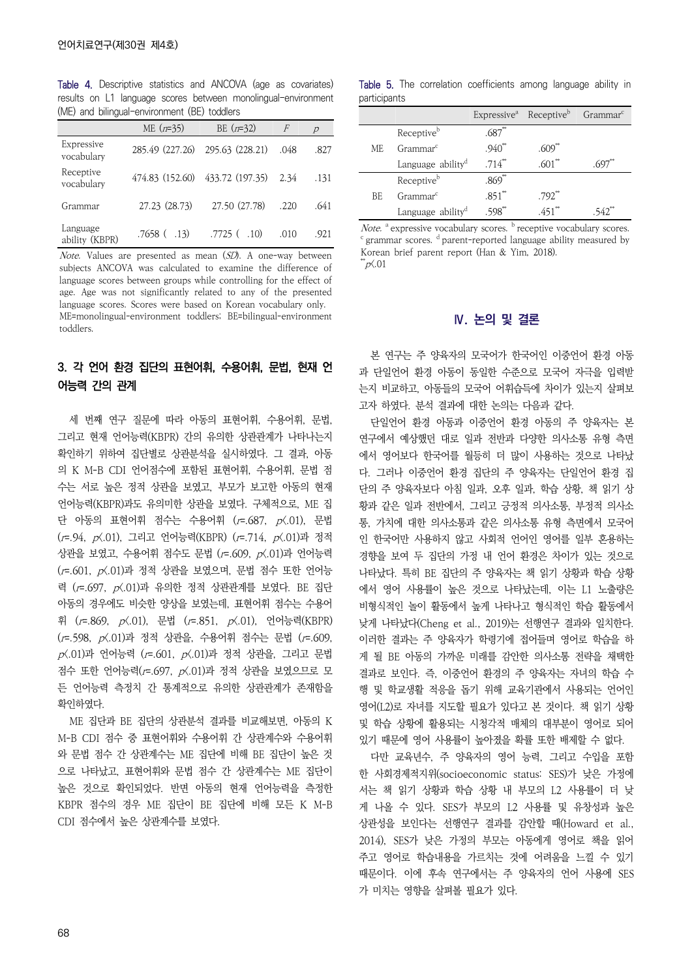Table 4. Descriptive statistics and ANCOVA (age as covariates) results on L1 language scores between monolingual-environment (ME) and bilingual-environment (BE) toddlers

|                            | ME $(n=35)$       | BE $(n=32)$                     | F    | $\overline{p}$ |
|----------------------------|-------------------|---------------------------------|------|----------------|
| Expressive<br>vocabulary   |                   | 285.49 (227.26) 295.63 (228.21) | .048 | .827           |
| Receptive<br>vocabulary    | 474.83 (152.60)   | 433.72 (197.35)                 | 2.34 | .131           |
| Grammar                    | 27.23 (28.73)     | 27.50 (27.78)                   | .220 | .641           |
| Language<br>ability (KBPR) | $.7658$ ( $.13$ ) | .7725(.10)                      | .010 | .921           |

Note. Values are presented as mean (SD). A one-way between subjects ANCOVA was calculated to examine the difference of language scores between groups while controlling for the effect of age. Age was not significantly related to any of the presented language scores. Scores were based on Korean vocabulary only. ME=monolingual-environment toddlers; BE=bilingual-environment toddlers.

# 3. 각 언어 환경 집단의 표현어휘, 수용어휘, 문법, 현재 언 어능력 간의 관계

세 번째 연구 질문에 따라 아동의 표현어휘, 수용어휘, 문법, 그리고 현재 언어능력(KBPR) 간의 유의한 상관관계가 나타나는지 확인하기 위하여 집단별로 상관분석을 실시하였다. 그 결과, 아동 의 K M-B CDI 언어점수에 포함된 표현어휘, 수용어휘, 문법 점 수는 서로 높은 정적 상관을 보였고, 부모가 보고한 아동의 현재 언어능력(KBPR)과도 유의미한 상관을 보였다. 구체적으로, ME 집 단 아동의 표현어휘 점수는 수용어휘 ( $r = .687$ ,  $p(0.01)$ , 문법 (r=.94, p<.01), 그리고 언어능력(KBPR) (r=.714, p<.01)과 정적 상관을 보였고, 수용어휘 점수도 문법 (r=.609, p<.01)과 언어능력  $(r=.601, p(.01)$ 과 정적 상관을 보였으며, 문법 점수 또한 언어능 력 (r=.697, p<.01)과 유의한 정적 상관관계를 보였다. BE 집단 아동의 경우에도 비슷한 양상을 보였는데, 표현어휘 점수는 수용어 휘 (r = 869, p < 01), 문법 (r = 851, p < 01), 언어능력(KBPR) (r=.598, p<.01)과 정적 상관을, 수용어휘 점수는 문법 (r=.609,  $p(0.01)$ 과 언어능력 ( $r = .601$ ,  $p(0.01)$ 과 정적 상관을, 그리고 문법 점수 또한 언어능력(r=.697, p<.01)과 정적 상관을 보였으므로 모 든 언어능력 측정치 간 통계적으로 유의한 상관관계가 존재함을 확인하였다.

ME 집단과 BE 집단의 상관분석 결과를 비교해보면, 아동의 K M-B CDI 점수 중 표현어휘와 수용어휘 간 상관계수와 수용어휘 와 문법 점수 간 상관계수는 ME 집단에 비해 BE 집단이 높은 것 으로 나타났고, 표현어휘와 문법 점수 간 상관계수는 ME 집단이 높은 것으로 확인되었다. 반면 아동의 현재 언어능력을 측정한 KBPR 점수의 경우 ME 집단이 BE 집단에 비해 모든 K M-B CDI 점수에서 높은 상관계수를 보였다.

Table 5. The correlation coefficients among language ability in participants

|     |                               |                      | Expressive <sup>a</sup> Receptive <sup>b</sup> Grammar <sup>c</sup> |  |
|-----|-------------------------------|----------------------|---------------------------------------------------------------------|--|
|     | Receptive <sup>b</sup>        | $.687^{**}$          |                                                                     |  |
| MF. | Grammar <sup>c</sup>          | $.940^{**}$          | $.609*$                                                             |  |
|     | Language ability <sup>d</sup> | $.714^{**}$          | .601                                                                |  |
|     | Receptive <sup>b</sup>        | $.869^{**}$          |                                                                     |  |
| BE. | Grammar <sup>c</sup>          | $.851$ <sup>**</sup> | $.792$ <sup>**</sup>                                                |  |
|     | Language ability <sup>d</sup> | $.598^{\ast}$        | $.451**$                                                            |  |

*Note.*  $\alpha$  expressive vocabulary scores.  $\beta$  receptive vocabulary scores.  $\alpha$  parent-reported language ability measured by Korean brief parent report (Han & Yim, 2018).  $^*$ p $\zeta.01$ 

#### **Ⅳ. 논의 및 결론**

본 연구는 주 양육자의 모국어가 한국어인 이중언어 환경 아동 과 단일언어 환경 아동이 동일한 수준으로 모국어 자극을 입력받 는지 비교하고, 아동들의 모국어 어휘습득에 차이가 있는지 살펴보 고자 하였다. 분석 결과에 대한 논의는 다음과 같다.

단일언어 환경 아동과 이중언어 환경 아동의 주 양육자는 본 연구에서 예상했던 대로 일과 전반과 다양한 의사소통 유형 측면 에서 영어보다 한국어를 월등히 더 많이 사용하는 것으로 나타났 다. 그러나 이중언어 환경 집단의 주 양육자는 단일언어 환경 집 단의 주 양육자보다 아침 일과, 오후 일과, 학습 상황, 책 읽기 상 황과 같은 일과 전반에서, 그리고 긍정적 의사소통, 부정적 의사소 통, 가치에 대한 의사소통과 같은 의사소통 유형 측면에서 모국어 인 한국어만 사용하지 않고 사회적 언어인 영어를 일부 혼용하는 경향을 보여 두 집단의 가정 내 언어 환경은 차이가 있는 것으로 나타났다. 특히 BE 집단의 주 양육자는 책 읽기 상황과 학습 상황 에서 영어 사용률이 높은 것으로 나타났는데, 이는 L1 노출량은 비형식적인 놀이 활동에서 높게 나타나고 형식적인 학습 활동에서 낮게 나타났다(Cheng et al., 2019)는 선행연구 결과와 일치한다. 이러한 결과는 주 양육자가 학령기에 접어들며 영어로 학습을 하 게 될 BE 아동의 가까운 미래를 감안한 의사소통 전략을 채택한 결과로 보인다. 즉, 이중언어 환경의 주 양육자는 자녀의 학습 수 행 및 학교생활 적응을 돕기 위해 교육기관에서 사용되는 언어인 영어(L2)로 자녀를 지도할 필요가 있다고 본 것이다. 책 읽기 상황 및 학습 상황에 활용되는 시청각적 매체의 대부분이 영어로 되어 있기 때문에 영어 사용률이 높아졌을 확률 또한 배제할 수 없다.

다만 교육년수, 주 양육자의 영어 능력, 그리고 수입을 포함 한 사회경제적지위(socioeconomic status: SES)가 낮은 가정에 서는 책 읽기 상황과 학습 상황 내 부모의 L2 사용률이 더 낮 게 나올 수 있다. SES가 부모의 L2 사용률 및 유창성과 높은 상관성을 보인다는 선행연구 결과를 감안할 때(Howard et al., 2014), SES가 낮은 가정의 부모는 아동에게 영어로 책을 읽어 주고 영어로 학습내용을 가르치는 것에 어려움을 느낄 수 있기 때문이다. 이에 후속 연구에서는 주 양육자의 언어 사용에 SES 가 미치는 영향을 살펴볼 필요가 있다.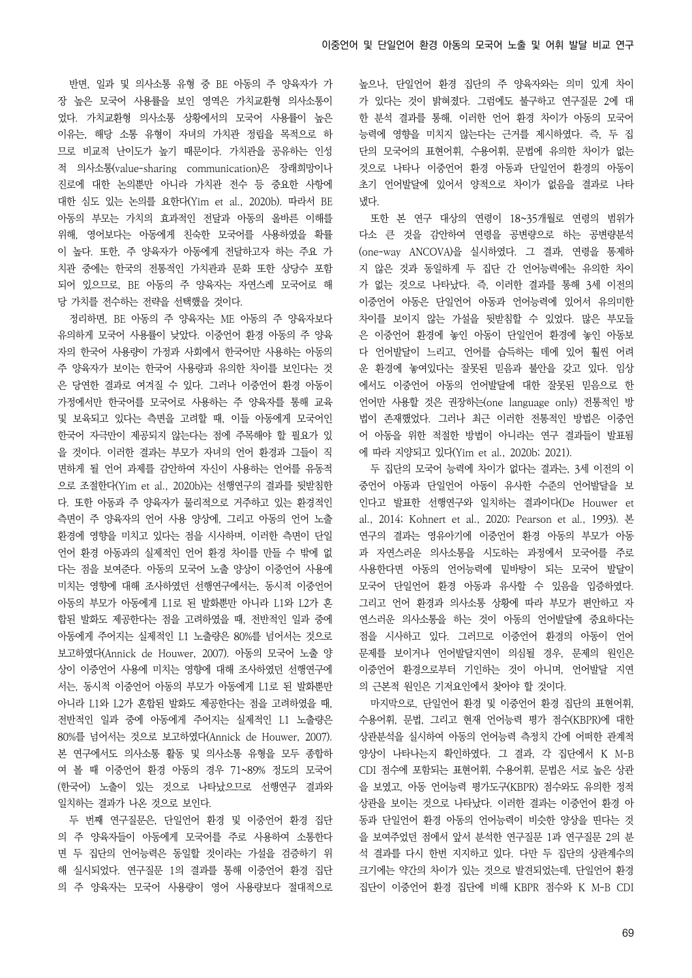반면, 일과 및 의사소통 유형 중 BE 아동의 주 양육자가 가 장 높은 모국어 사용률을 보인 영역은 가치교환형 의사소통이 었다. 가치교환형 의사소통 상황에서의 모국어 사용률이 높은 이유는, 해당 소통 유형이 자녀의 가치관 정립을 목적으로 하 므로 비교적 난이도가 높기 때문이다. 가치관을 공유하는 인성 적 의사소통(value-sharing communication)은 장래희망이나 진로에 대한 논의뿐만 아니라 가치관 전수 등 중요한 사항에 대한 심도 있는 논의를 요한다(Yim et al., 2020b). 따라서 BE 아동의 부모는 가치의 효과적인 전달과 아동의 올바른 이해를 위해, 영어보다는 아동에게 친숙한 모국어를 사용하였을 확률 이 높다. 또한, 주 양육자가 아동에게 전달하고자 하는 주요 가 치관 중에는 한국의 전통적인 가치관과 문화 또한 상당수 포함 되어 있으므로, BE 아동의 주 양육자는 자연스레 모국어로 해 당 가치를 전수하는 전략을 선택했을 것이다.

정리하면, BE 아동의 주 양육자는 ME 아동의 주 양육자보다 유의하게 모국어 사용률이 낮았다. 이중언어 환경 아동의 주 양육 자의 한국어 사용량이 가정과 사회에서 한국어만 사용하는 아동의 주 양육자가 보이는 한국어 사용량과 유의한 차이를 보인다는 것 은 당연한 결과로 여겨질 수 있다. 그러나 이중언어 환경 아동이 가정에서만 한국어를 모국어로 사용하는 주 양육자를 통해 교육 및 보육되고 있다는 측면을 고려할 때, 이들 아동에게 모국어인 한국어 자극만이 제공되지 않는다는 점에 주목해야 할 필요가 있 을 것이다. 이러한 결과는 부모가 자녀의 언어 환경과 그들이 직 면하게 될 언어 과제를 감안하여 자신이 사용하는 언어를 유동적 으로 조절한다(Yim et al., 2020b)는 선행연구의 결과를 뒷받침한 다. 또한 아동과 주 양육자가 물리적으로 거주하고 있는 환경적인 측면이 주 양육자의 언어 사용 양상에, 그리고 아동의 언어 노출 환경에 영향을 미치고 있다는 점을 시사하며, 이러한 측면이 단일 언어 환경 아동과의 실제적인 언어 환경 차이를 만들 수 밖에 없 다는 점을 보여준다. 아동의 모국어 노출 양상이 이중언어 사용에 미치는 영향에 대해 조사하였던 선행연구에서는, 동시적 이중언어 아동의 부모가 아동에게 L1로 된 발화뿐만 아니라 L1와 L2가 혼 합된 발화도 제공한다는 점을 고려하였을 때, 전반적인 일과 중에 아동에게 주어지는 실제적인 L1 노출량은 80%를 넘어서는 것으로 보고하였다(Annick de Houwer, 2007). 아동의 모국어 노출 양 상이 이중언어 사용에 미치는 영향에 대해 조사하였던 선행연구에 서는, 동시적 이중언어 아동의 부모가 아동에게 L1로 된 발화뿐만 아니라 L1와 L2가 혼합된 발화도 제공한다는 점을 고려하였을 때, 전반적인 일과 중에 아동에게 주어지는 실제적인 L1 노출량은 80%를 넘어서는 것으로 보고하였다(Annick de Houwer, 2007). 본 연구에서도 의사소통 활동 및 의사소통 유형을 모두 종합하 여 볼 때 이중언어 환경 아동의 경우 71~89% 정도의 모국어 (한국어) 노출이 있는 것으로 나타났으므로 선행연구 결과와 일치하는 결과가 나온 것으로 보인다.

두 번째 연구질문은, 단일언어 환경 및 이중언어 환경 집단 의 주 양육자들이 아동에게 모국어를 주로 사용하여 소통한다 면 두 집단의 언어능력은 동일할 것이라는 가설을 검증하기 위 해 실시되었다. 연구질문 1의 결과를 통해 이중언어 환경 집단 의 주 양육자는 모국어 사용량이 영어 사용량보다 절대적으로 높으나, 단일언어 환경 집단의 주 양육자와는 의미 있게 차이 가 있다는 것이 밝혀졌다. 그럼에도 불구하고 연구질문 2에 대 한 분석 결과를 통해, 이러한 언어 환경 차이가 아동의 모국어 능력에 영향을 미치지 않는다는 근거를 제시하였다. 즉, 두 집 단의 모국어의 표현어휘, 수용어휘, 문법에 유의한 차이가 없는 것으로 나타나 이중언어 환경 아동과 단일언어 환경의 아동이 초기 언어발달에 있어서 양적으로 차이가 없음을 결과로 나타 냈다.

또한 본 연구 대상의 연령이 18~35개월로 연령의 범위가 다소 큰 것을 감안하여 연령을 공변량으로 하는 공변량분석 (one-way ANCOVA)을 실시하였다. 그 결과, 연령을 통제하 지 않은 것과 동일하게 두 집단 간 언어능력에는 유의한 차이 가 없는 것으로 나타났다. 즉, 이러한 결과를 통해 3세 이전의 이중언어 아동은 단일언어 아동과 언어능력에 있어서 유의미한 차이를 보이지 않는 가설을 뒷받침할 수 있었다. 많은 부모들 은 이중언어 환경에 놓인 아동이 단일언어 환경에 놓인 아동보 다 언어발달이 느리고, 언어를 습득하는 데에 있어 훨씬 어려 운 환경에 놓여있다는 잘못된 믿음과 불안을 갖고 있다. 임상 에서도 이중언어 아동의 언어발달에 대한 잘못된 믿음으로 한 언어만 사용할 것은 권장하는(one language only) 전통적인 방 법이 존재했었다. 그러나 최근 이러한 전통적인 방법은 이중언 어 아동을 위한 적절한 방법이 아니라는 연구 결과들이 발표됨 에 따라 지양되고 있다(Yim et al., 2020b; 2021).

두 집단의 모국어 능력에 차이가 없다는 결과는, 3세 이전의 이 중언어 아동과 단일언어 아동이 유사한 수준의 언어발달을 보 인다고 발표한 선행연구와 일치하는 결과이다(De Houwer et al., 2014; Kohnert et al., 2020; Pearson et al., 1993). 본 연구의 결과는 영유아기에 이중언어 환경 아동의 부모가 아동 과 자연스러운 의사소통을 시도하는 과정에서 모국어를 주로 사용한다면 아동의 언어능력에 밑바탕이 되는 모국어 발달이 모국어 단일언어 환경 아동과 유사할 수 있음을 입증하였다. 그리고 언어 환경과 의사소통 상황에 따라 부모가 편안하고 자 연스러운 의사소통을 하는 것이 아동의 언어발달에 중요하다는 점을 시사하고 있다. 그러므로 이중언어 환경의 아동이 언어 문제를 보이거나 언어발달지연이 의심될 경우, 문제의 원인은 이중언어 환경으로부터 기인하는 것이 아니며, 언어발달 지연 의 근본적 원인은 기저요인에서 찾아야 할 것이다.

마지막으로, 단일언어 환경 및 이중언어 환경 집단의 표현어휘, 수용어휘, 문법, 그리고 현재 언어능력 평가 점수(KBPR)에 대한 상관분석을 실시하여 아동의 언어능력 측정치 간에 어떠한 관계적 양상이 나타나는지 확인하였다. 그 결과, 각 집단에서 K M-B CDI 점수에 포함되는 표현어휘, 수용어휘, 문법은 서로 높은 상관 을 보였고, 아동 언어능력 평가도구(KBPR) 점수와도 유의한 정적 상관을 보이는 것으로 나타났다. 이러한 결과는 이중언어 환경 아 동과 단일언어 환경 아동의 언어능력이 비슷한 양상을 띤다는 것 을 보여주었던 점에서 앞서 분석한 연구질문 1과 연구질문 2의 분 석 결과를 다시 한번 지지하고 있다. 다만 두 집단의 상관계수의 크기에는 약간의 차이가 있는 것으로 발견되었는데, 단일언어 환경 집단이 이중언어 환경 집단에 비해 KBPR 점수와 K M-B CDI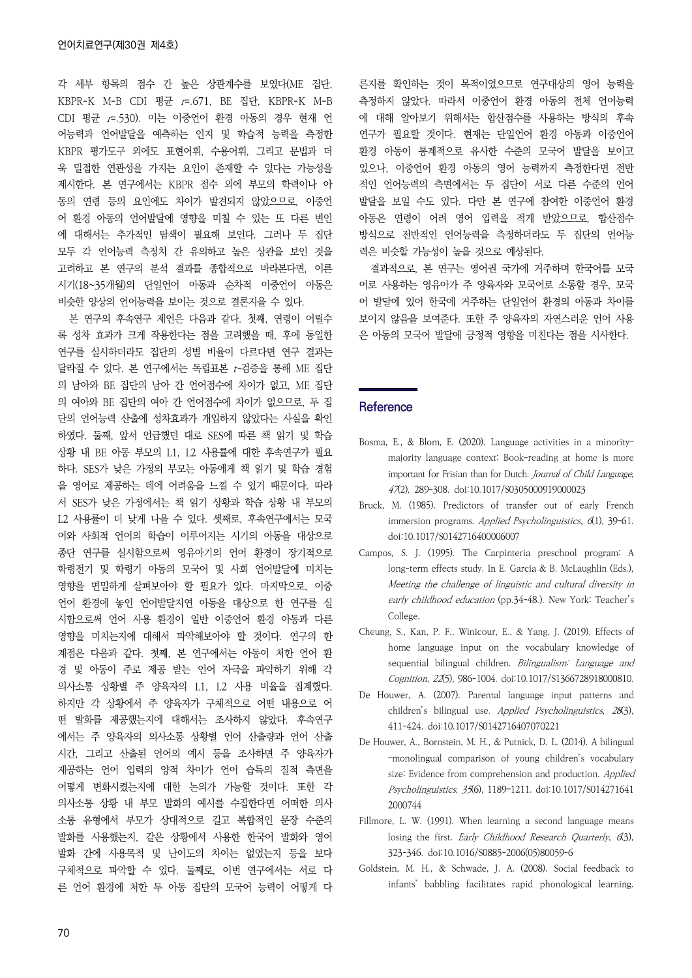각 세부 항목의 점수 간 높은 상관계수를 보였다(ME 집단, KBPR-K M-B CDI 평균 r=.671, BE 집단, KBPR-K M-B CDI 평균 r=.530). 이는 이중언어 환경 아동의 경우 현재 언 어능력과 언어발달을 예측하는 인지 및 학습적 능력을 측정한 KBPR 평가도구 외에도 표현어휘, 수용어휘, 그리고 문법과 더 욱 밀접한 연관성을 가지는 요인이 존재할 수 있다는 가능성을 제시한다. 본 연구에서는 KBPR 점수 외에 부모의 학력이나 아 동의 연령 등의 요인에도 차이가 발견되지 않았으므로, 이중언 어 환경 아동의 언어발달에 영향을 미칠 수 있는 또 다른 변인 에 대해서는 추가적인 탐색이 필요해 보인다. 그러나 두 집단 모두 각 언어능력 측정치 간 유의하고 높은 상관을 보인 것을 고려하고 본 연구의 분석 결과를 종합적으로 바라본다면, 이른 시기(18~35개월)의 단일언어 아동과 순차적 이중언어 아동은 비슷한 양상의 언어능력을 보이는 것으로 결론지을 수 있다.

본 연구의 후속연구 제언은 다음과 같다. 첫째, 연령이 어릴수 록 성차 효과가 크게 작용한다는 점을 고려했을 때, 후에 동일한 연구를 실시하더라도 집단의 성별 비율이 다르다면 연구 결과는 달라질 수 있다. 본 연구에서는 독립표본 t-검증을 통해 ME 집단 의 남아와 BE 집단의 남아 간 언어점수에 차이가 없고, ME 집단 의 여아와 BE 집단의 여아 간 언어점수에 차이가 없으므로, 두 집 단의 언어능력 산출에 성차효과가 개입하지 않았다는 사실을 확인 하였다. 둘째, 앞서 언급했던 대로 SES에 따른 책 읽기 및 학습 상황 내 BE 아동 부모의 L1, L2 사용률에 대한 후속연구가 필요 하다. SES가 낮은 가정의 부모는 아동에게 책 읽기 및 학습 경험 을 영어로 제공하는 데에 어려움을 느낄 수 있기 때문이다. 따라 서 SES가 낮은 가정에서는 책 읽기 상황과 학습 상황 내 부모의 L2 사용률이 더 낮게 나올 수 있다. 셋째로, 후속연구에서는 모국 어와 사회적 언어의 학습이 이루어지는 시기의 아동을 대상으로 종단 연구를 실시함으로써 영유아기의 언어 환경이 장기적으로 학령전기 및 학령기 아동의 모국어 및 사회 언어발달에 미치는 영향을 면밀하게 살펴보아야 할 필요가 있다. 마지막으로, 이중 언어 환경에 놓인 언어발달지연 아동을 대상으로 한 연구를 실 시함으로써 언어 사용 환경이 일반 이중언어 환경 아동과 다른 영향을 미치는지에 대해서 파악해보아야 할 것이다. 연구의 한 계점은 다음과 같다. 첫째, 본 연구에서는 아동이 처한 언어 환 경 및 아동이 주로 제공 받는 언어 자극을 파악하기 위해 각 의사소통 상황별 주 양육자의 L1, L2 사용 비율을 집계했다. 하지만 각 상황에서 주 양육자가 구체적으로 어떤 내용으로 어 떤 발화를 제공했는지에 대해서는 조사하지 않았다. 후속연구 에서는 주 양육자의 의사소통 상황별 언어 산출량과 언어 산출 시간, 그리고 산출된 언어의 예시 등을 조사하면 주 양육자가 제공하는 언어 입력의 양적 차이가 언어 습득의 질적 측면을 어떻게 변화시켰는지에 대한 논의가 가능할 것이다. 또한 각 의사소통 상황 내 부모 발화의 예시를 수집한다면 어떠한 의사 소통 유형에서 부모가 상대적으로 길고 복합적인 문장 수준의 발화를 사용했는지, 같은 상황에서 사용한 한국어 발화와 영어 발화 간에 사용목적 및 난이도의 차이는 없었는지 등을 보다 구체적으로 파악할 수 있다. 둘째로, 이번 연구에서는 서로 다 른 언어 환경에 처한 두 아동 집단의 모국어 능력이 어떻게 다 른지를 확인하는 것이 목적이었으므로 연구대상의 영어 능력을 측정하지 않았다. 따라서 이중언어 환경 아동의 전체 언어능력 에 대해 알아보기 위해서는 합산점수를 사용하는 방식의 후속 연구가 필요할 것이다. 현재는 단일언어 환경 아동과 이중언어 환경 아동이 통계적으로 유사한 수준의 모국어 발달을 보이고 있으나, 이중언어 환경 아동의 영어 능력까지 측정한다면 전반 적인 언어능력의 측면에서는 두 집단이 서로 다른 수준의 언어 발달을 보일 수도 있다. 다만 본 연구에 참여한 이중언어 환경 아동은 연령이 어려 영어 입력을 적게 받았으므로, 합산점수 방식으로 전반적인 언어능력을 측정하더라도 두 집단의 언어능 력은 비슷할 가능성이 높을 것으로 예상된다.

결과적으로, 본 연구는 영어권 국가에 거주하며 한국어를 모국 어로 사용하는 영유아가 주 양육자와 모국어로 소통할 경우, 모국 어 발달에 있어 한국에 거주하는 단일언어 환경의 아동과 차이를 보이지 않음을 보여준다. 또한 주 양육자의 자연스러운 언어 사용 은 아동의 모국어 발달에 긍정적 영향을 미친다는 점을 시사한다.

#### **Reference**

- Bosma, E., & Blom, E. (2020). Language activities in a minority– majority language context: Book-reading at home is more important for Frisian than for Dutch. Journal of Child Language, 47(2), 289-308. doi:10.1017/S0305000919000023
- Bruck, M. (1985). Predictors of transfer out of early French immersion programs. Applied Psycholinguistics,  $\mathcal{A}(1)$ , 39-61. doi:10.1017/S0142716400006007
- Campos, S. J. (1995). The Carpinteria preschool program: A long-term effects study. In E. Garcia & B. McLaughlin (Eds.), Meeting the challenge of linguistic and cultural diversity in early childhood education (pp.34-48.). New York: Teacher's College.
- Cheung, S., Kan, P. F., Winicour, E., & Yang, J. (2019). Effects of home language input on the vocabulary knowledge of sequential bilingual children. Bilingualism: Language and Cognition, 22(5), 986-1004. doi:10.1017/S1366728918000810.
- De Houwer, A. (2007). Parental language input patterns and children's bilingual use. Applied Psycholinguistics, 28(3), 411-424. doi:10.1017/S0142716407070221
- De Houwer, A., Bornstein, M. H., & Putnick, D. L. (2014). A bilingual –monolingual comparison of young children's vocabulary size: Evidence from comprehension and production. Applied Psycholinguistics, 35(6), 1189–1211. doi:10.1017/S014271641 2000744
- Fillmore, L. W. (1991). When learning a second language means losing the first. Early Childhood Research Quarterly, 6(3), 323-346. doi:10.1016/S0885-2006(05)80059-6
- Goldstein, M. H., & Schwade, J. A. (2008). Social feedback to infants' babbling facilitates rapid phonological learning.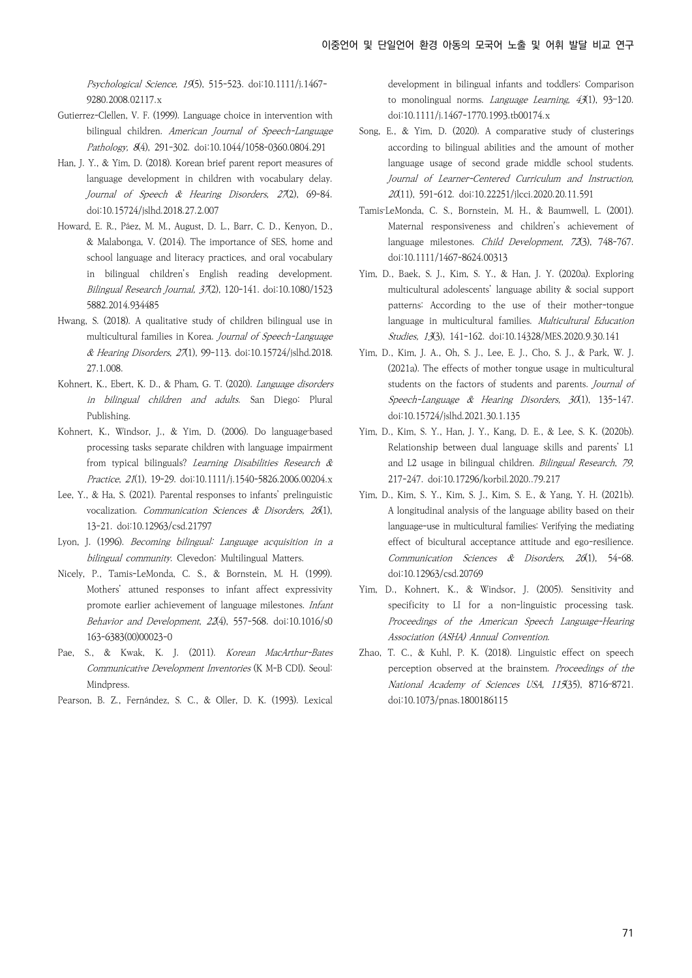Psychological Science, 19(5), 515-523. doi:10.1111/j.1467-9280.2008.02117.x

- Gutierrez-Clellen, V. F. (1999). Language choice in intervention with bilingual children. American Journal of Speech-Language Pathology, 8(4), 291-302. doi:10.1044/1058-0360.0804.291
- Han, J. Y., & Yim, D. (2018). Korean brief parent report measures of language development in children with vocabulary delay. Journal of Speech & Hearing Disorders, 27(2), 69-84. doi:10.15724/jslhd.2018.27.2.007
- Howard, E. R., Páez, M. M., August, D. L., Barr, C. D., Kenyon, D., & Malabonga, V. (2014). The importance of SES, home and school language and literacy practices, and oral vocabulary in bilingual children's English reading development. Bilingual Research Journal, 37(2), 120-141. doi:10.1080/1523 5882.2014.934485
- Hwang, S. (2018). A qualitative study of children bilingual use in multicultural families in Korea. Journal of Speech-Language & Hearing Disorders, 27(1), 99-113. doi:10.15724/jslhd.2018. 27.1.008.
- Kohnert, K., Ebert, K. D., & Pham, G. T. (2020). Language disorders in bilingual children and adults. San Diego: Plural Publishing.
- Kohnert, K., Windsor, J., & Yim, D. (2006). Do language-based processing tasks separate children with language impairment from typical bilinguals? Learning Disabilities Research & Practice, 21(1), 19-29. doi:10.1111/j.1540-5826.2006.00204.x
- Lee, Y., & Ha, S. (2021). Parental responses to infants' prelinguistic vocalization. Communication Sciences & Disorders, 26(1), 13-21. doi:10.12963/csd.21797
- Lyon, J. (1996). Becoming bilingual: Language acquisition in a bilingual community. Clevedon: Multilingual Matters.
- Nicely, P., Tamis-LeMonda, C. S., & Bornstein, M. H. (1999). Mothers' attuned responses to infant affect expressivity promote earlier achievement of language milestones. Infant Behavior and Development, 22(4), 557-568. doi:10.1016/s0 163-6383(00)00023-0
- Pae, S., & Kwak, K. J. (2011). Korean MacArthur-Bates Communicative Development Inventories (K M-B CDI). Seoul: Mindpress.
- Pearson, B. Z., Fernández, S. C., & Oller, D. K. (1993). Lexical

development in bilingual infants and toddlers: Comparison to monolingual norms. Language Learning, 43(1), 93–120. doi:10.1111/j.1467-1770.1993.tb00174.x

- Song, E., & Yim, D. (2020). A comparative study of clusterings according to bilingual abilities and the amount of mother language usage of second grade middle school students. Journal of Learner-Centered Curriculum and Instruction, 20(11), 591-612. doi:10.22251/jlcci.2020.20.11.591
- Tamis‐LeMonda, C. S., Bornstein, M. H., & Baumwell, L. (2001). Maternal responsiveness and children's achievement of language milestones. Child Development, 72(3), 748-767. doi:10.1111/1467-8624.00313
- Yim, D., Baek, S. J., Kim, S. Y., & Han, J. Y. (2020a). Exploring multicultural adolescents' language ability & social support patterns: According to the use of their mother-tongue language in multicultural families. Multicultural Education Studies, 13(3), 141-162. doi:10.14328/MES.2020.9.30.141
- Yim, D., Kim, J. A., Oh, S. J., Lee, E. J., Cho, S. J., & Park, W. J. (2021a). The effects of mother tongue usage in multicultural students on the factors of students and parents. Journal of Speech-Language & Hearing Disorders, 30(1), 135-147. doi:10.15724/jslhd.2021.30.1.135
- Yim, D., Kim, S. Y., Han, J. Y., Kang, D. E., & Lee, S. K. (2020b). Relationship between dual language skills and parents' L1 and L2 usage in bilingual children. Bilingual Research, 79, 217-247. doi:10.17296/korbil.2020..79.217
- Yim, D., Kim, S. Y., Kim, S. J., Kim, S. E., & Yang, Y. H. (2021b). A longitudinal analysis of the language ability based on their language-use in multicultural families: Verifying the mediating effect of bicultural acceptance attitude and ego-resilience. Communication Sciences & Disorders, 26(1), 54-68. doi:10.12963/csd.20769
- Yim, D., Kohnert, K., & Windsor, J. (2005). Sensitivity and specificity to LI for a non-linguistic processing task. Proceedings of the American Speech Language-Hearing Association (ASHA) Annual Convention.
- Zhao, T. C., & Kuhl, P. K. (2018). Linguistic effect on speech perception observed at the brainstem. Proceedings of the National Academy of Sciences USA, 115(35), 8716–8721. doi:10.1073/pnas.1800186115